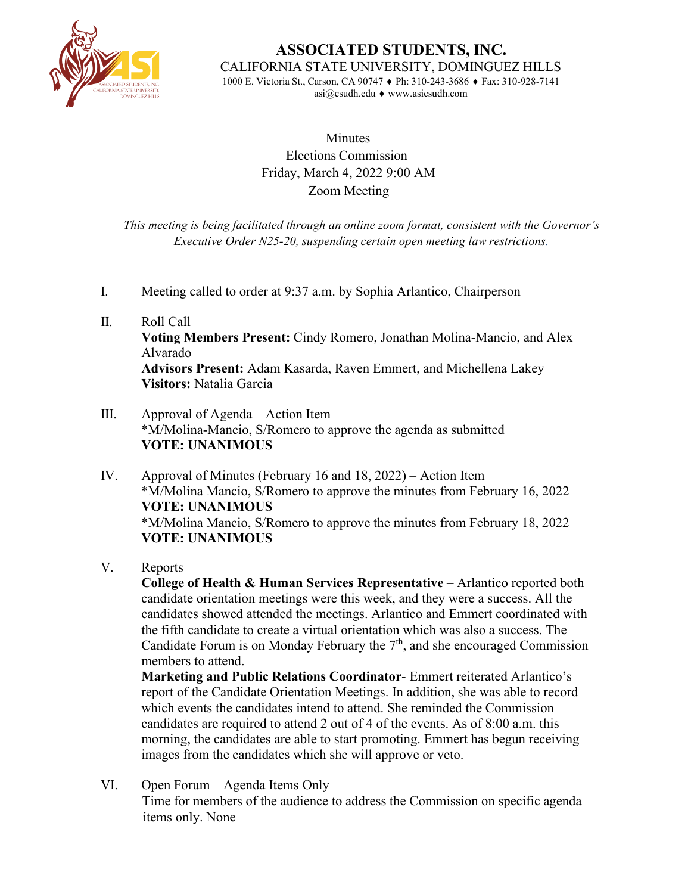

**ASSOCIATED STUDENTS, INC.** CALIFORNIA STATE UNIVERSITY, DOMINGUEZ HILLS 1000 E. Victoria St., Carson, CA 90747 ♦ Ph: 310-243-3686 ♦ Fax: 310-928-7141

[asi@csudh.edu](mailto:asi@csudh.edu) ♦ [www.asicsudh.com](http://www.asicsudh.com/)

**Minutes** Elections Commission Friday, March 4, 2022 9:00 AM Zoom Meeting

*This meeting is being facilitated through an online zoom format, consistent with the Governor's Executive Order N25-20, suspending certain open meeting law restrictions.*

- I. Meeting called to order at 9:37 a.m. by Sophia Arlantico, Chairperson
- II. Roll Call **Voting Members Present:** Cindy Romero, Jonathan Molina-Mancio, and Alex Alvarado **Advisors Present:** Adam Kasarda, Raven Emmert, and Michellena Lakey **Visitors:** Natalia Garcia
- III. Approval of Agenda Action Item \*M/Molina-Mancio, S/Romero to approve the agenda as submitted **VOTE: UNANIMOUS**
- IV. Approval of Minutes (February 16 and 18, 2022) Action Item \*M/Molina Mancio, S/Romero to approve the minutes from February 16, 2022 **VOTE: UNANIMOUS** \*M/Molina Mancio, S/Romero to approve the minutes from February 18, 2022 **VOTE: UNANIMOUS**
- V. Reports

**College of Health & Human Services Representative** – Arlantico reported both candidate orientation meetings were this week, and they were a success. All the candidates showed attended the meetings. Arlantico and Emmert coordinated with the fifth candidate to create a virtual orientation which was also a success. The Candidate Forum is on Monday February the  $7<sup>th</sup>$ , and she encouraged Commission members to attend.

**Marketing and Public Relations Coordinator**- Emmert reiterated Arlantico's report of the Candidate Orientation Meetings. In addition, she was able to record which events the candidates intend to attend. She reminded the Commission candidates are required to attend 2 out of 4 of the events. As of 8:00 a.m. this morning, the candidates are able to start promoting. Emmert has begun receiving images from the candidates which she will approve or veto.

VI. Open Forum – Agenda Items Only Time for members of the audience to address the Commission on specific agenda items only. None